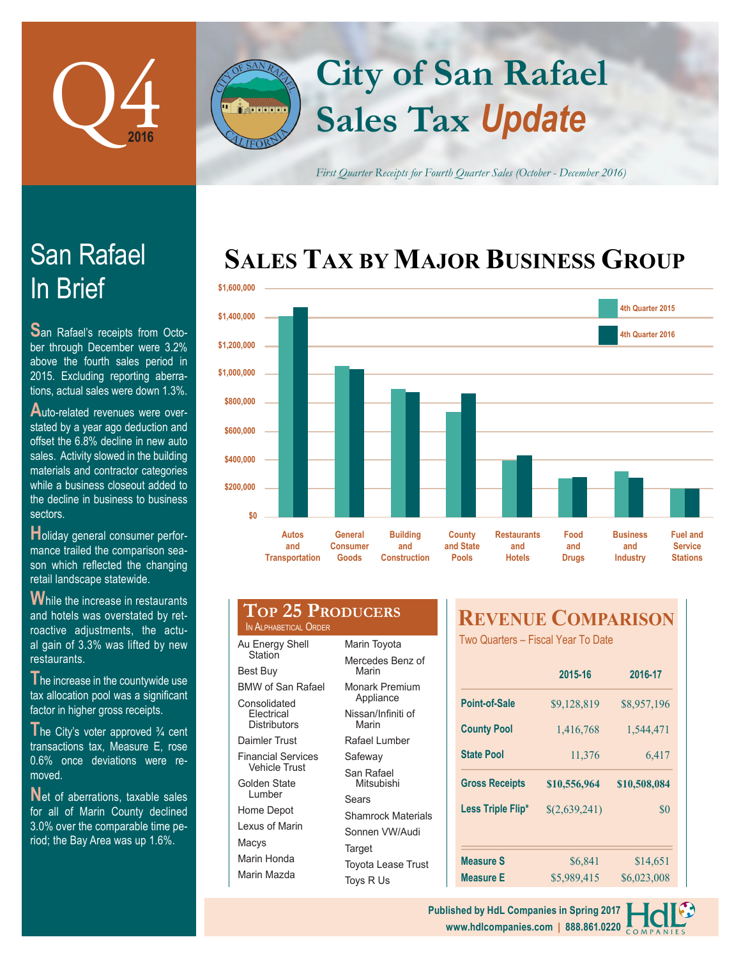

# **Sales Tax** *Update* **City of San Rafael**

*First Quarter Receipts for Fourth Quarter Sales (October - December 2016)*

## **SALES TAX BY MAJOR BUSINESS GROUP**



|             | <b>Contract Contract</b>                     |                                            |                                               |                                            |                                            |                             |                                           |                                                      |
|-------------|----------------------------------------------|--------------------------------------------|-----------------------------------------------|--------------------------------------------|--------------------------------------------|-----------------------------|-------------------------------------------|------------------------------------------------------|
| 71,400,000  |                                              |                                            |                                               |                                            |                                            |                             | 4th Quarter 2016                          |                                                      |
| \$1,200,000 |                                              |                                            |                                               |                                            |                                            |                             |                                           |                                                      |
| \$1,000,000 |                                              |                                            |                                               |                                            |                                            |                             |                                           |                                                      |
| \$800,000   |                                              |                                            |                                               |                                            |                                            |                             |                                           |                                                      |
| \$600,000   |                                              |                                            |                                               |                                            |                                            |                             |                                           |                                                      |
| \$400,000   |                                              |                                            |                                               |                                            |                                            |                             |                                           |                                                      |
| \$200,000   |                                              |                                            |                                               |                                            |                                            |                             |                                           |                                                      |
| \$0         |                                              |                                            |                                               |                                            |                                            |                             |                                           |                                                      |
|             | <b>Autos</b><br>and<br><b>Transportation</b> | <b>General</b><br><b>Consumer</b><br>Goods | <b>Building</b><br>and<br><b>Construction</b> | <b>County</b><br>and State<br><b>Pools</b> | <b>Restaurants</b><br>and<br><b>Hotels</b> | Food<br>and<br><b>Drugs</b> | <b>Business</b><br>and<br><b>Industry</b> | <b>Fuel and</b><br><b>Service</b><br><b>Stations</b> |
|             |                                              |                                            |                                               |                                            |                                            |                             |                                           |                                                      |

| $\mathbf W$ hile the increase in restaurants |  |
|----------------------------------------------|--|
| and hotels was overstated by ret-            |  |
| roactive adjustments, the actu-              |  |
| al gain of 3.3% was lifted by new            |  |
| restaurants.                                 |  |

The increase in the countywide use tax allocation pool was a significant factor in higher gross receipts.

The City's voter approved <sup>3</sup>/<sub>4</sub> cent transactions tax, Measure E, rose 0.6% once deviations were removed.

Net of aberrations, taxable sales for all of Marin County declined 3.0% over the comparable time period; the Bay Area was up 1.6%.

| <b>TOP 25 PRODUCERS</b><br>IN ALPHABETICAL ORDER |                        |  |  |
|--------------------------------------------------|------------------------|--|--|
| Au Energy Shell<br>Station                       | Marin Toyota           |  |  |
|                                                  | Mercedes Benz<br>Marin |  |  |
| <b>Best Buy</b>                                  |                        |  |  |
| <b>BMW of San Rafael</b>                         | <b>Monark Premiu</b>   |  |  |
| 0 - - - - II - I - I - I                         | Appliance              |  |  |

Consolidated **Electrical Distributors** 

Daimler Trust Financial Services

**A**<br>Fleathfrith

Vehicle Trust

Golden State Lumber Home Depot Lexus of Marin Macys Marin Honda Marin Mazda

| ξ |                             |
|---|-----------------------------|
|   | Marin Toyota                |
|   | Mercedes Benz of<br>Marin   |
|   | Monark Premium<br>Appliance |
|   | Nissan/Infiniti of<br>Marin |
|   | Rafael Lumber               |
|   | Safeway                     |
|   | San Rafael<br>Mitsubishi    |
|   | Sears                       |
|   | <b>Shamrock Materials</b>   |
|   | Sonnen VW/Audi              |
|   | Target                      |
|   | <b>Toyota Lease Trust</b>   |

Toys R Us

## **REVENUE COMPARISON**

Two Quarters – Fiscal Year To Date

|                       | 2015-16       | 2016-17      |
|-----------------------|---------------|--------------|
| Point-of-Sale         | \$9,128,819   | \$8,957,196  |
| <b>County Pool</b>    | 1,416,768     | 1,544,471    |
| <b>State Pool</b>     | 11,376        | 6,417        |
| <b>Gross Receipts</b> | \$10,556,964  | \$10,508,084 |
| Less Triple Flip*     | \$(2,639,241) | \$0          |
|                       |               |              |
|                       |               |              |
| <b>Measure S</b>      | \$6,841       | \$14,651     |

**www.hdlcompanies.com | 888.861.0220 Published by HdL Companies in Spring 2017**



**S**an Rafael's receipts from October through December were 3.2% above the fourth sales period in 2015. Excluding reporting aberrations, actual sales were down 1.3%.

**A**uto-related revenues were overstated by a year ago deduction and offset the 6.8% decline in new auto sales. Activity slowed in the building materials and contractor categories while a business closeout added to the decline in business to business sectors.

**H**oliday general consumer performance trailed the comparison season which reflected the changing retail landscape statewide.